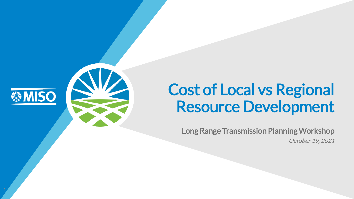

# Cost of Local vs Regional Resource Development

Long Range Transmission Planning Workshop October 19, 2021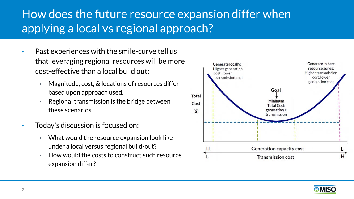## How does the future resource expansion differ when applying a local vs regional approach?

- Past experiences with the smile-curve tell us that leveraging regional resources will be more cost-effective than a local build out:
	- Magnitude, cost, & locations of resources differ based upon approach used.
	- Regional transmission is the bridge between these scenarios.
- Today's discussion is focused on:
	- What would the resource expansion look like under a local versus regional build-out?
	- How would the costs to construct such resource expansion differ?



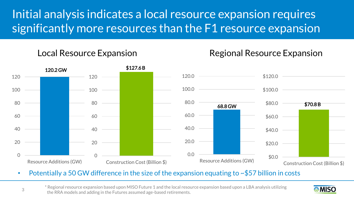## Initial analysis indicates a local resource expansion requires significantly more resources than the F1 resource expansion

### Local Resource Expansion Local Regional Resource Expansion



### Potentially a 50 GW difference in the size of the expansion equating to  $\sim$ \$57 billion in costs

\* Regional resource expansion based upon MISO Future 1 and the local resource expansion based upon a LBA analysis utilizing the RRA models and adding in the Futures assumed age-based retirements.